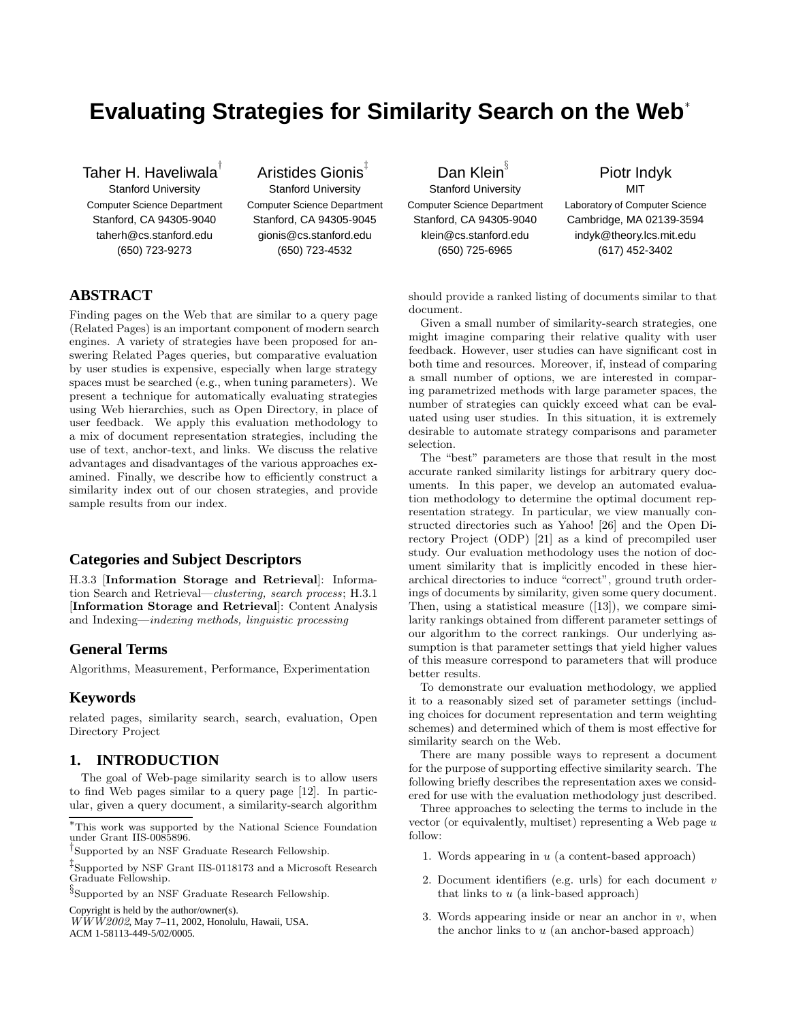# **Evaluating Strategies for Similarity Search on the Web**<sup>∗</sup>

Taher H. Haveliwala<sup>†</sup>

Stanford University Computer Science Department Stanford, CA 94305-9040 taherh@cs.stanford.edu (650) 723-9273

# Aristides Gionis<sup>‡</sup>

Stanford University Computer Science Department Stanford, CA 94305-9045 gionis@cs.stanford.edu (650) 723-4532

**ABSTRACT**

Finding pages on the Web that are similar to a query page (Related Pages) is an important component of modern search engines. A variety of strategies have been proposed for answering Related Pages queries, but comparative evaluation by user studies is expensive, especially when large strategy spaces must be searched (e.g., when tuning parameters). We present a technique for automatically evaluating strategies using Web hierarchies, such as Open Directory, in place of user feedback. We apply this evaluation methodology to a mix of document representation strategies, including the use of text, anchor-text, and links. We discuss the relative advantages and disadvantages of the various approaches examined. Finally, we describe how to efficiently construct a similarity index out of our chosen strategies, and provide sample results from our index.

# **Categories and Subject Descriptors**

H.3.3 [Information Storage and Retrieval]: Information Search and Retrieval—clustering, search process; H.3.1 [Information Storage and Retrieval]: Content Analysis and Indexing—indexing methods, linguistic processing

### **General Terms**

Algorithms, Measurement, Performance, Experimentation

### **Keywords**

related pages, similarity search, search, evaluation, Open Directory Project

### **1. INTRODUCTION**

The goal of Web-page similarity search is to allow users to find Web pages similar to a query page [12]. In particular, given a query document, a similarity-search algorithm

 $\S$  Supported by an NSF Graduate Research Fellowship.

Copyright is held by the author/owner(s).

 $W\tilde{W}Z002$ , May 7-11, 2002, Honolulu, Hawaii, USA.

ACM 1-58113-449-5/02/0005.

Dan Klein Stanford University Computer Science Department Stanford, CA 94305-9040 klein@cs.stanford.edu (650) 725-6965

Piotr Indyk

**MIT** Laboratory of Computer Science Cambridge, MA 02139-3594 indyk@theory.lcs.mit.edu (617) 452-3402

should provide a ranked listing of documents similar to that document.

Given a small number of similarity-search strategies, one might imagine comparing their relative quality with user feedback. However, user studies can have significant cost in both time and resources. Moreover, if, instead of comparing a small number of options, we are interested in comparing parametrized methods with large parameter spaces, the number of strategies can quickly exceed what can be evaluated using user studies. In this situation, it is extremely desirable to automate strategy comparisons and parameter selection.

The "best" parameters are those that result in the most accurate ranked similarity listings for arbitrary query documents. In this paper, we develop an automated evaluation methodology to determine the optimal document representation strategy. In particular, we view manually constructed directories such as Yahoo! [26] and the Open Directory Project (ODP) [21] as a kind of precompiled user study. Our evaluation methodology uses the notion of document similarity that is implicitly encoded in these hierarchical directories to induce "correct", ground truth orderings of documents by similarity, given some query document. Then, using a statistical measure ([13]), we compare similarity rankings obtained from different parameter settings of our algorithm to the correct rankings. Our underlying assumption is that parameter settings that yield higher values of this measure correspond to parameters that will produce better results.

To demonstrate our evaluation methodology, we applied it to a reasonably sized set of parameter settings (including choices for document representation and term weighting schemes) and determined which of them is most effective for similarity search on the Web.

There are many possible ways to represent a document for the purpose of supporting effective similarity search. The following briefly describes the representation axes we considered for use with the evaluation methodology just described.

Three approaches to selecting the terms to include in the vector (or equivalently, multiset) representing a Web page  $u$ follow:

- 1. Words appearing in  $u$  (a content-based approach)
- 2. Document identifiers (e.g. urls) for each document  $v$ that links to  $u$  (a link-based approach)
- 3. Words appearing inside or near an anchor in  $v$ , when the anchor links to  $u$  (an anchor-based approach)

<sup>∗</sup>This work was supported by the National Science Foundation under Grant IIS-0085896.

<sup>†</sup> Supported by an NSF Graduate Research Fellowship.

<sup>‡</sup> Supported by NSF Grant IIS-0118173 and a Microsoft Research Graduate Fellowship.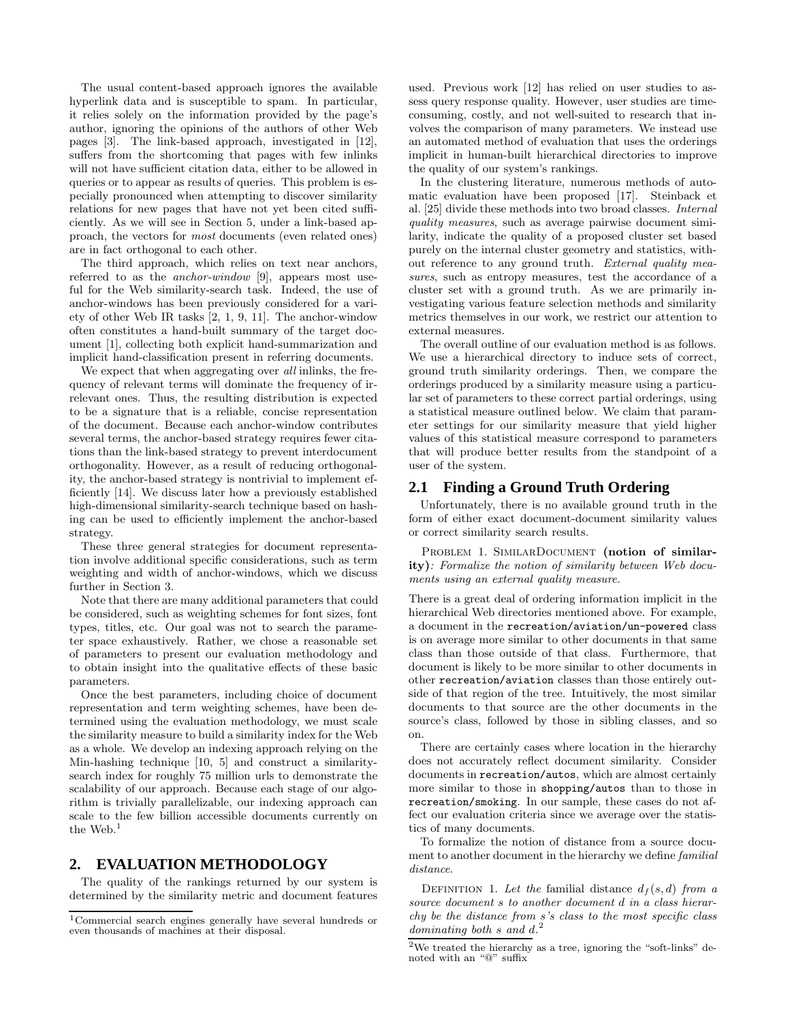The usual content-based approach ignores the available hyperlink data and is susceptible to spam. In particular, it relies solely on the information provided by the page's author, ignoring the opinions of the authors of other Web pages [3]. The link-based approach, investigated in [12], suffers from the shortcoming that pages with few inlinks will not have sufficient citation data, either to be allowed in queries or to appear as results of queries. This problem is especially pronounced when attempting to discover similarity relations for new pages that have not yet been cited sufficiently. As we will see in Section 5, under a link-based approach, the vectors for most documents (even related ones) are in fact orthogonal to each other.

The third approach, which relies on text near anchors, referred to as the anchor-window [9], appears most useful for the Web similarity-search task. Indeed, the use of anchor-windows has been previously considered for a variety of other Web IR tasks [2, 1, 9, 11]. The anchor-window often constitutes a hand-built summary of the target document [1], collecting both explicit hand-summarization and implicit hand-classification present in referring documents.

We expect that when aggregating over all inlinks, the frequency of relevant terms will dominate the frequency of irrelevant ones. Thus, the resulting distribution is expected to be a signature that is a reliable, concise representation of the document. Because each anchor-window contributes several terms, the anchor-based strategy requires fewer citations than the link-based strategy to prevent interdocument orthogonality. However, as a result of reducing orthogonality, the anchor-based strategy is nontrivial to implement efficiently [14]. We discuss later how a previously established high-dimensional similarity-search technique based on hashing can be used to efficiently implement the anchor-based strategy.

These three general strategies for document representation involve additional specific considerations, such as term weighting and width of anchor-windows, which we discuss further in Section 3.

Note that there are many additional parameters that could be considered, such as weighting schemes for font sizes, font types, titles, etc. Our goal was not to search the parameter space exhaustively. Rather, we chose a reasonable set of parameters to present our evaluation methodology and to obtain insight into the qualitative effects of these basic parameters.

Once the best parameters, including choice of document representation and term weighting schemes, have been determined using the evaluation methodology, we must scale the similarity measure to build a similarity index for the Web as a whole. We develop an indexing approach relying on the Min-hashing technique [10, 5] and construct a similaritysearch index for roughly 75 million urls to demonstrate the scalability of our approach. Because each stage of our algorithm is trivially parallelizable, our indexing approach can scale to the few billion accessible documents currently on the Web.<sup>1</sup>

### **2. EVALUATION METHODOLOGY**

The quality of the rankings returned by our system is determined by the similarity metric and document features used. Previous work [12] has relied on user studies to assess query response quality. However, user studies are timeconsuming, costly, and not well-suited to research that involves the comparison of many parameters. We instead use an automated method of evaluation that uses the orderings implicit in human-built hierarchical directories to improve the quality of our system's rankings.

In the clustering literature, numerous methods of automatic evaluation have been proposed [17]. Steinback et al. [25] divide these methods into two broad classes. Internal quality measures, such as average pairwise document similarity, indicate the quality of a proposed cluster set based purely on the internal cluster geometry and statistics, without reference to any ground truth. External quality measures, such as entropy measures, test the accordance of a cluster set with a ground truth. As we are primarily investigating various feature selection methods and similarity metrics themselves in our work, we restrict our attention to external measures.

The overall outline of our evaluation method is as follows. We use a hierarchical directory to induce sets of correct, ground truth similarity orderings. Then, we compare the orderings produced by a similarity measure using a particular set of parameters to these correct partial orderings, using a statistical measure outlined below. We claim that parameter settings for our similarity measure that yield higher values of this statistical measure correspond to parameters that will produce better results from the standpoint of a user of the system.

### **2.1 Finding a Ground Truth Ordering**

Unfortunately, there is no available ground truth in the form of either exact document-document similarity values or correct similarity search results.

PROBLEM 1. SIMILARDOCUMENT (notion of similarity): Formalize the notion of similarity between Web documents using an external quality measure.

There is a great deal of ordering information implicit in the hierarchical Web directories mentioned above. For example, a document in the recreation/aviation/un-powered class is on average more similar to other documents in that same class than those outside of that class. Furthermore, that document is likely to be more similar to other documents in other recreation/aviation classes than those entirely outside of that region of the tree. Intuitively, the most similar documents to that source are the other documents in the source's class, followed by those in sibling classes, and so on.

There are certainly cases where location in the hierarchy does not accurately reflect document similarity. Consider documents in recreation/autos, which are almost certainly more similar to those in shopping/autos than to those in recreation/smoking. In our sample, these cases do not affect our evaluation criteria since we average over the statistics of many documents.

To formalize the notion of distance from a source document to another document in the hierarchy we define familial distance.

DEFINITION 1. Let the familial distance  $d_f(s, d)$  from a source document s to another document d in a class hierarchy be the distance from s's class to the most specific class dominating both  $s$  and  $d^2$ .

 $^1\mathrm{Commercial}$  search engines generally have several hundreds or even thousands of machines at their disposal.

 $^2\rm{We}$  treated the hierarchy as a tree, ignoring the "soft-links" denoted with an "@" suffix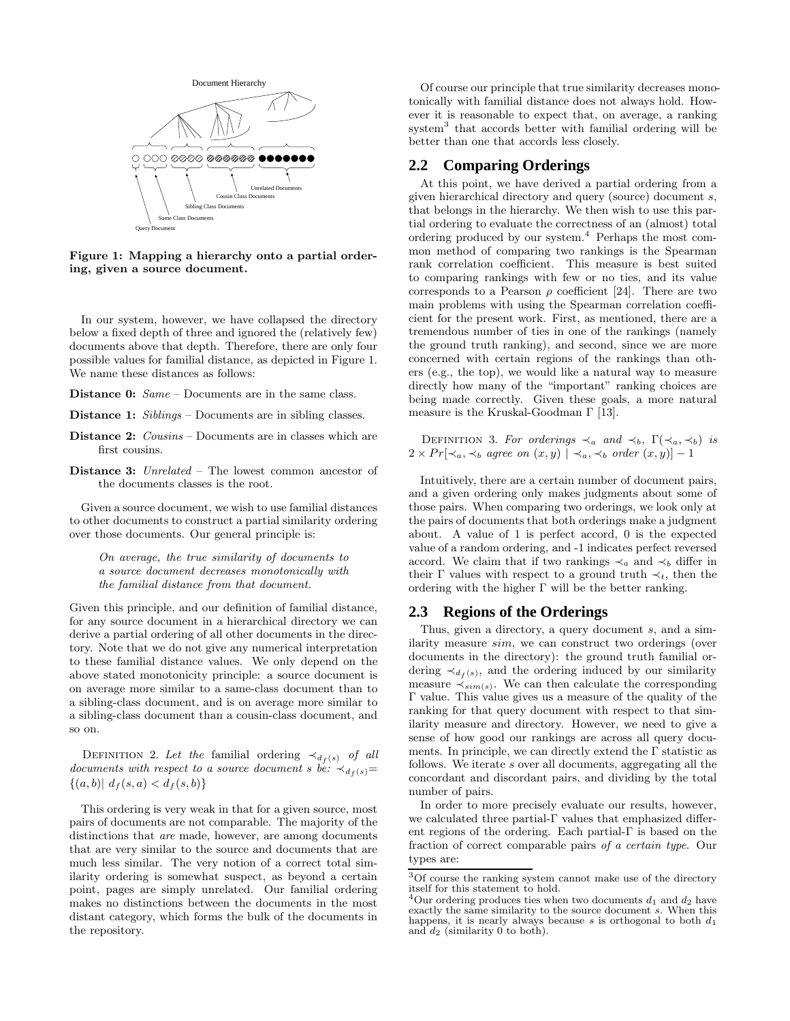

Figure 1: Mapping a hierarchy onto a partial ordering, given a source document.

In our system, however, we have collapsed the directory below a fixed depth of three and ignored the (relatively few) documents above that depth. Therefore, there are only four possible values for familial distance, as depicted in Figure 1. We name these distances as follows:

Distance 0:  $Same$  – Documents are in the same class.

Distance 1: Siblings – Documents are in sibling classes.

- Distance 2: *Cousins* Documents are in classes which are first cousins.
- Distance 3: Unrelated The lowest common ancestor of the documents classes is the root.

Given a source document, we wish to use familial distances to other documents to construct a partial similarity ordering over those documents. Our general principle is:

On average, the true similarity of documents to a source document decreases monotonically with the familial distance from that document.

Given this principle, and our definition of familial distance, for any source document in a hierarchical directory we can derive a partial ordering of all other documents in the directory. Note that we do not give any numerical interpretation to these familial distance values. We only depend on the above stated monotonicity principle: a source document is on average more similar to a same-class document than to a sibling-class document, and is on average more similar to a sibling-class document than a cousin-class document, and so on.

DEFINITION 2. Let the familial ordering  $\prec_{d_f(s)}$  of all documents with respect to a source document s be:  $\prec_{d_f(s)}=$  $\{(a, b)| d_f(s, a) < d_f(s, b)\}\$ 

This ordering is very weak in that for a given source, most pairs of documents are not comparable. The majority of the distinctions that *are* made, however, are among documents that are very similar to the source and documents that are much less similar. The very notion of a correct total similarity ordering is somewhat suspect, as beyond a certain point, pages are simply unrelated. Our familial ordering makes no distinctions between the documents in the most distant category, which forms the bulk of the documents in the repository.

Of course our principle that true similarity decreases monotonically with familial distance does not always hold. However it is reasonable to expect that, on average, a ranking system<sup>3</sup> that accords better with familial ordering will be better than one that accords less closely.

### **2.2 Comparing Orderings**

At this point, we have derived a partial ordering from a given hierarchical directory and query (source) document s, that belongs in the hierarchy. We then wish to use this partial ordering to evaluate the correctness of an (almost) total ordering produced by our system.<sup>4</sup> Perhaps the most common method of comparing two rankings is the Spearman rank correlation coefficient. This measure is best suited to comparing rankings with few or no ties, and its value corresponds to a Pearson  $\rho$  coefficient [24]. There are two main problems with using the Spearman correlation coefficient for the present work. First, as mentioned, there are a tremendous number of ties in one of the rankings (namely the ground truth ranking), and second, since we are more concerned with certain regions of the rankings than others (e.g., the top), we would like a natural way to measure directly how many of the "important" ranking choices are being made correctly. Given these goals, a more natural measure is the Kruskal-Goodman  $\Gamma$  [13].

DEFINITION 3. For orderings  $\prec_a$  and  $\prec_b$ ,  $\Gamma(\prec_a, \prec_b)$  is  $2 \times Pr[\prec_a, \prec_b \text{ agree on } (x, y) \mid \prec_a, \prec_b \text{ order } (x, y)] - 1$ 

Intuitively, there are a certain number of document pairs, and a given ordering only makes judgments about some of those pairs. When comparing two orderings, we look only at the pairs of documents that both orderings make a judgment about. A value of 1 is perfect accord, 0 is the expected value of a random ordering, and -1 indicates perfect reversed accord. We claim that if two rankings  $\prec_a$  and  $\prec_b$  differ in their  $\Gamma$  values with respect to a ground truth  $\prec_t$ , then the ordering with the higher  $\Gamma$  will be the better ranking.

#### **2.3 Regions of the Orderings**

Thus, given a directory, a query document s, and a similarity measure sim, we can construct two orderings (over documents in the directory): the ground truth familial ordering  $\prec_{d_f(s)}$ , and the ordering induced by our similarity measure  $\prec_{sim(s)}$ . We can then calculate the corresponding Γ value. This value gives us a measure of the quality of the ranking for that query document with respect to that similarity measure and directory. However, we need to give a sense of how good our rankings are across all query documents. In principle, we can directly extend the  $\Gamma$  statistic as follows. We iterate s over all documents, aggregating all the concordant and discordant pairs, and dividing by the total number of pairs.

In order to more precisely evaluate our results, however, we calculated three partial-Γ values that emphasized different regions of the ordering. Each partial-Γ is based on the fraction of correct comparable pairs of a certain type. Our types are:

 ${\rm ^3Of}$  course the ranking system cannot make use of the directory itself for this statement to hold.

<sup>&</sup>lt;sup>4</sup>Our ordering produces ties when two documents  $d_1$  and  $d_2$  have exactly the same similarity to the source document s. When this happens, it is nearly always because  $s$  is orthogonal to both  $d_1$ and  $d_2$  (similarity 0 to both).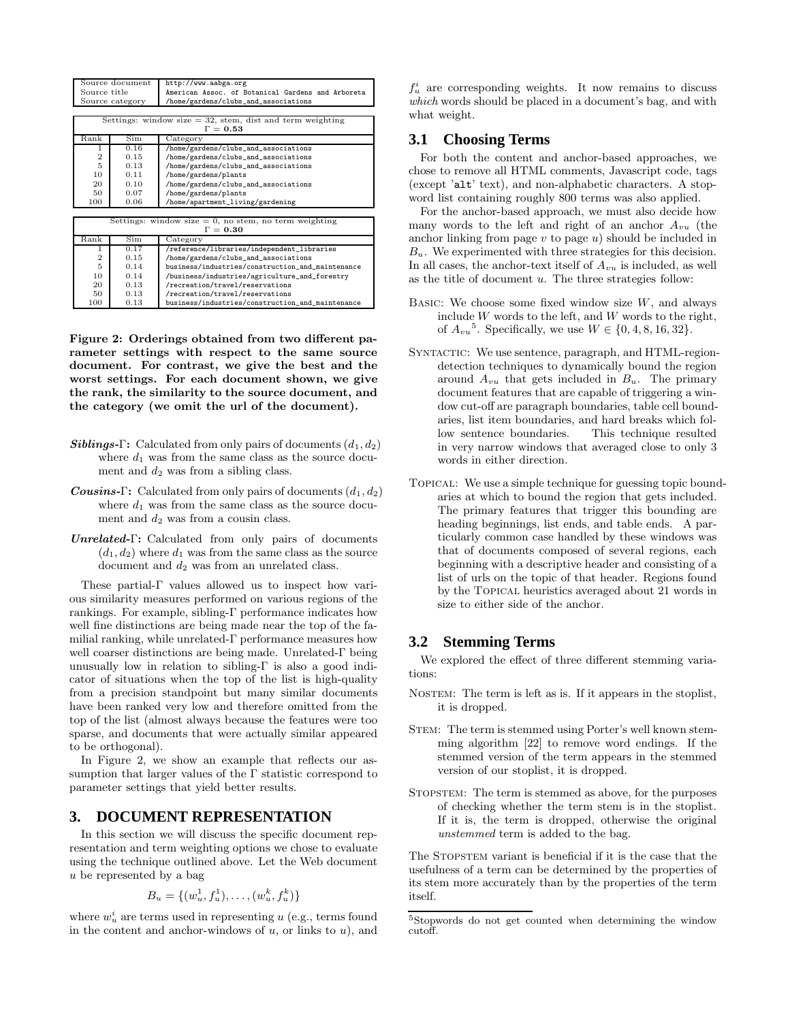| Source document                                             |      | http://www.aabga.org                              |  |  |  |  |
|-------------------------------------------------------------|------|---------------------------------------------------|--|--|--|--|
| Source title                                                |      | American Assoc. of Botanical Gardens and Arboreta |  |  |  |  |
| Source category                                             |      | /home/gardens/clubs_and_associations              |  |  |  |  |
|                                                             |      |                                                   |  |  |  |  |
| Settings: window size $=$ 32, stem, dist and term weighting |      |                                                   |  |  |  |  |
| $\Gamma = 0.53$                                             |      |                                                   |  |  |  |  |
| Rank                                                        | Sim  | Category                                          |  |  |  |  |
| 1                                                           | 0.16 | /home/gardens/clubs_and_associations              |  |  |  |  |
| $\overline{2}$                                              | 0.15 | /home/gardens/clubs_and_associations              |  |  |  |  |
| 5                                                           | 0.13 | /home/gardens/clubs_and_associations              |  |  |  |  |
| 10                                                          | 0.11 | /home/gardens/plants                              |  |  |  |  |
| 20                                                          | 0.10 | /home/gardens/clubs_and_associations              |  |  |  |  |
| 50                                                          | 0.07 | /home/gardens/plants                              |  |  |  |  |
| 100                                                         | 0.06 | /home/apartment_living/gardening                  |  |  |  |  |
|                                                             |      |                                                   |  |  |  |  |
| Settings: window size $= 0$ , no stem, no term weighting    |      |                                                   |  |  |  |  |
|                                                             |      | $\Gamma = 0.30$                                   |  |  |  |  |
| Rank                                                        | Sim  | Category                                          |  |  |  |  |
| 1                                                           | 0.17 | /reference/libraries/independent_libraries        |  |  |  |  |
| $\overline{2}$                                              | 0.15 | /home/gardens/clubs_and_associations              |  |  |  |  |
| 5                                                           | 0.14 | business/industries/construction_and_maintenance  |  |  |  |  |
| 10                                                          | 0.14 | /business/industries/agriculture_and_forestry     |  |  |  |  |
| 20                                                          | 0.13 | /recreation/travel/reservations                   |  |  |  |  |
| 50                                                          | 0.13 | /recreation/travel/reservations                   |  |  |  |  |
| 100                                                         | 0.13 | business/industries/construction_and_maintenance  |  |  |  |  |

Figure 2: Orderings obtained from two different parameter settings with respect to the same source document. For contrast, we give the best and the worst settings. For each document shown, we give the rank, the similarity to the source document, and the category (we omit the url of the document).

- **Siblings-Γ:** Calculated from only pairs of documents  $(d_1, d_2)$ where  $d_1$  was from the same class as the source document and  $d_2$  was from a sibling class.
- **Cousins-Γ:** Calculated from only pairs of documents  $(d_1, d_2)$ where  $d_1$  was from the same class as the source document and  $d_2$  was from a cousin class.
- Unrelated-Γ: Calculated from only pairs of documents  $(d_1, d_2)$  where  $d_1$  was from the same class as the source document and  $d_2$  was from an unrelated class.

These partial-Γ values allowed us to inspect how various similarity measures performed on various regions of the rankings. For example, sibling-Γ performance indicates how well fine distinctions are being made near the top of the familial ranking, while unrelated-Γ performance measures how well coarser distinctions are being made. Unrelated-Γ being unusually low in relation to sibling-Γ is also a good indicator of situations when the top of the list is high-quality from a precision standpoint but many similar documents have been ranked very low and therefore omitted from the top of the list (almost always because the features were too sparse, and documents that were actually similar appeared to be orthogonal).

In Figure 2, we show an example that reflects our assumption that larger values of the  $\Gamma$  statistic correspond to parameter settings that yield better results.

### **3. DOCUMENT REPRESENTATION**

In this section we will discuss the specific document representation and term weighting options we chose to evaluate using the technique outlined above. Let the Web document u be represented by a bag

$$
B_u = \{(w_u^1, f_u^1), \dots, (w_u^k, f_u^k)\}
$$

where  $w_u^i$  are terms used in representing u (e.g., terms found in the content and anchor-windows of  $u$ , or links to  $u$ ), and

 $f_u^i$  are corresponding weights. It now remains to discuss which words should be placed in a document's bag, and with what weight.

### **3.1 Choosing Terms**

For both the content and anchor-based approaches, we chose to remove all HTML comments, Javascript code, tags (except 'alt' text), and non-alphabetic characters. A stopword list containing roughly 800 terms was also applied.

For the anchor-based approach, we must also decide how many words to the left and right of an anchor  $A_{vu}$  (the anchor linking from page  $v$  to page  $u$ ) should be included in  $B_u$ . We experimented with three strategies for this decision. In all cases, the anchor-text itself of  $A_{vu}$  is included, as well as the title of document  $u$ . The three strategies follow:

- BASIC: We choose some fixed window size  $W$ , and always include  $W$  words to the left, and  $W$  words to the right, of  $A_{vu}^5$ . Specifically, we use  $W \in \{0, 4, 8, 16, 32\}.$
- SYNTACTIC: We use sentence, paragraph, and HTML-regiondetection techniques to dynamically bound the region around  $A_{vu}$  that gets included in  $B_u$ . The primary document features that are capable of triggering a window cut-off are paragraph boundaries, table cell boundaries, list item boundaries, and hard breaks which follow sentence boundaries. in very narrow windows that averaged close to only 3 words in either direction.
- Topical: We use a simple technique for guessing topic boundaries at which to bound the region that gets included. The primary features that trigger this bounding are heading beginnings, list ends, and table ends. A particularly common case handled by these windows was that of documents composed of several regions, each beginning with a descriptive header and consisting of a list of urls on the topic of that header. Regions found by the Topical heuristics averaged about 21 words in size to either side of the anchor.

### **3.2 Stemming Terms**

We explored the effect of three different stemming variations:

- NOSTEM: The term is left as is. If it appears in the stoplist, it is dropped.
- STEM: The term is stemmed using Porter's well known stemming algorithm [22] to remove word endings. If the stemmed version of the term appears in the stemmed version of our stoplist, it is dropped.
- STOPSTEM: The term is stemmed as above, for the purposes of checking whether the term stem is in the stoplist. If it is, the term is dropped, otherwise the original unstemmed term is added to the bag.

The STOPSTEM variant is beneficial if it is the case that the usefulness of a term can be determined by the properties of its stem more accurately than by the properties of the term itself.

<sup>5</sup>Stopwords do not get counted when determining the window cutoff.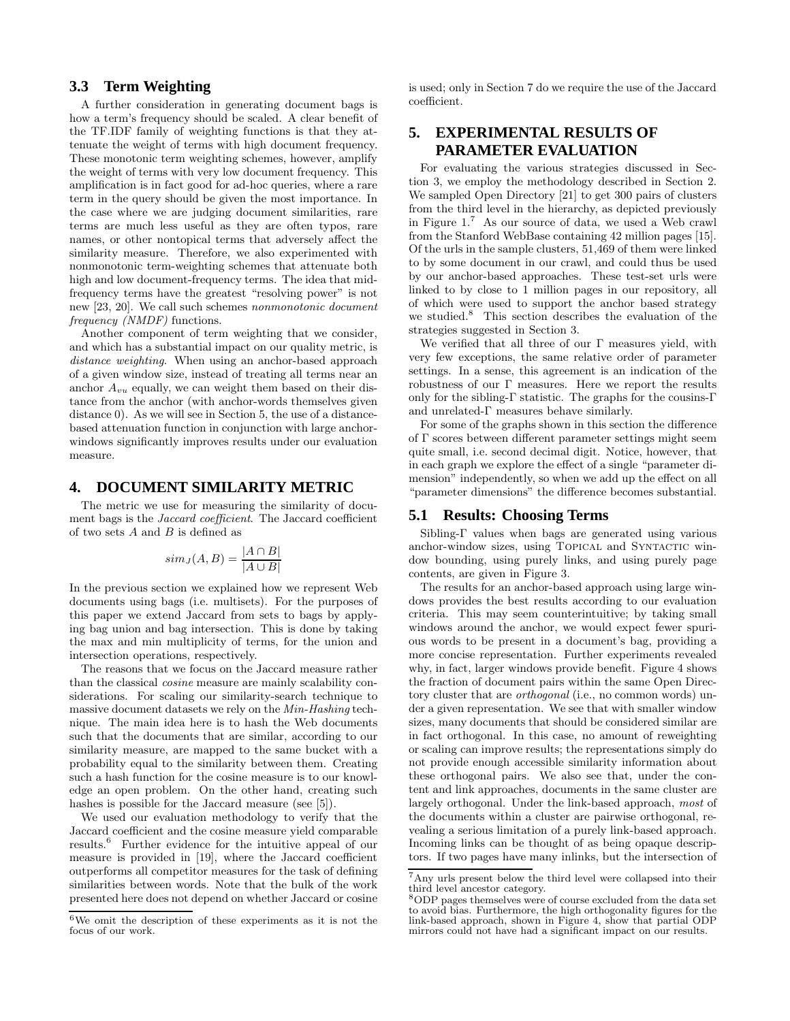### **3.3 Term Weighting**

A further consideration in generating document bags is how a term's frequency should be scaled. A clear benefit of the TF.IDF family of weighting functions is that they attenuate the weight of terms with high document frequency. These monotonic term weighting schemes, however, amplify the weight of terms with very low document frequency. This amplification is in fact good for ad-hoc queries, where a rare term in the query should be given the most importance. In the case where we are judging document similarities, rare terms are much less useful as they are often typos, rare names, or other nontopical terms that adversely affect the similarity measure. Therefore, we also experimented with nonmonotonic term-weighting schemes that attenuate both high and low document-frequency terms. The idea that midfrequency terms have the greatest "resolving power" is not new [23, 20]. We call such schemes nonmonotonic document frequency (NMDF) functions.

Another component of term weighting that we consider, and which has a substantial impact on our quality metric, is distance weighting. When using an anchor-based approach of a given window size, instead of treating all terms near an anchor  $A_{vu}$  equally, we can weight them based on their distance from the anchor (with anchor-words themselves given distance 0). As we will see in Section 5, the use of a distancebased attenuation function in conjunction with large anchorwindows significantly improves results under our evaluation measure.

### **4. DOCUMENT SIMILARITY METRIC**

The metric we use for measuring the similarity of document bags is the Jaccard coefficient. The Jaccard coefficient of two sets  $A$  and  $B$  is defined as

$$
sim_J(A, B) = \frac{|A \cap B|}{|A \cup B|}
$$

In the previous section we explained how we represent Web documents using bags (i.e. multisets). For the purposes of this paper we extend Jaccard from sets to bags by applying bag union and bag intersection. This is done by taking the max and min multiplicity of terms, for the union and intersection operations, respectively.

The reasons that we focus on the Jaccard measure rather than the classical cosine measure are mainly scalability considerations. For scaling our similarity-search technique to massive document datasets we rely on the Min-Hashing technique. The main idea here is to hash the Web documents such that the documents that are similar, according to our similarity measure, are mapped to the same bucket with a probability equal to the similarity between them. Creating such a hash function for the cosine measure is to our knowledge an open problem. On the other hand, creating such hashes is possible for the Jaccard measure (see [5]).

We used our evaluation methodology to verify that the Jaccard coefficient and the cosine measure yield comparable results.<sup>6</sup> Further evidence for the intuitive appeal of our measure is provided in [19], where the Jaccard coefficient outperforms all competitor measures for the task of defining similarities between words. Note that the bulk of the work presented here does not depend on whether Jaccard or cosine is used; only in Section 7 do we require the use of the Jaccard coefficient.

# **5. EXPERIMENTAL RESULTS OF PARAMETER EVALUATION**

For evaluating the various strategies discussed in Section 3, we employ the methodology described in Section 2. We sampled Open Directory [21] to get 300 pairs of clusters from the third level in the hierarchy, as depicted previously in Figure 1.<sup>7</sup> As our source of data, we used a Web crawl from the Stanford WebBase containing 42 million pages [15]. Of the urls in the sample clusters, 51,469 of them were linked to by some document in our crawl, and could thus be used by our anchor-based approaches. These test-set urls were linked to by close to 1 million pages in our repository, all of which were used to support the anchor based strategy we studied.<sup>8</sup> This section describes the evaluation of the strategies suggested in Section 3.

We verified that all three of our  $\Gamma$  measures yield, with very few exceptions, the same relative order of parameter settings. In a sense, this agreement is an indication of the robustness of our Γ measures. Here we report the results only for the sibling-Γ statistic. The graphs for the cousins-Γ and unrelated-Γ measures behave similarly.

For some of the graphs shown in this section the difference of Γ scores between different parameter settings might seem quite small, i.e. second decimal digit. Notice, however, that in each graph we explore the effect of a single "parameter dimension" independently, so when we add up the effect on all "parameter dimensions" the difference becomes substantial.

#### **5.1 Results: Choosing Terms**

Sibling-Γ values when bags are generated using various anchor-window sizes, using TOPICAL and SYNTACTIC window bounding, using purely links, and using purely page contents, are given in Figure 3.

The results for an anchor-based approach using large windows provides the best results according to our evaluation criteria. This may seem counterintuitive; by taking small windows around the anchor, we would expect fewer spurious words to be present in a document's bag, providing a more concise representation. Further experiments revealed why, in fact, larger windows provide benefit. Figure 4 shows the fraction of document pairs within the same Open Directory cluster that are orthogonal (i.e., no common words) under a given representation. We see that with smaller window sizes, many documents that should be considered similar are in fact orthogonal. In this case, no amount of reweighting or scaling can improve results; the representations simply do not provide enough accessible similarity information about these orthogonal pairs. We also see that, under the content and link approaches, documents in the same cluster are largely orthogonal. Under the link-based approach, most of the documents within a cluster are pairwise orthogonal, revealing a serious limitation of a purely link-based approach. Incoming links can be thought of as being opaque descriptors. If two pages have many inlinks, but the intersection of

 ${}^{6}\mathrm{We}$  omit the description of these experiments as it is not the focus of our work.

<sup>7</sup>Any urls present below the third level were collapsed into their third level ancestor category.

<sup>8</sup>ODP pages themselves were of course excluded from the data set to avoid bias. Furthermore, the high orthogonality figures for the link-based approach, shown in Figure 4, show that partial ODP mirrors could not have had a significant impact on our results.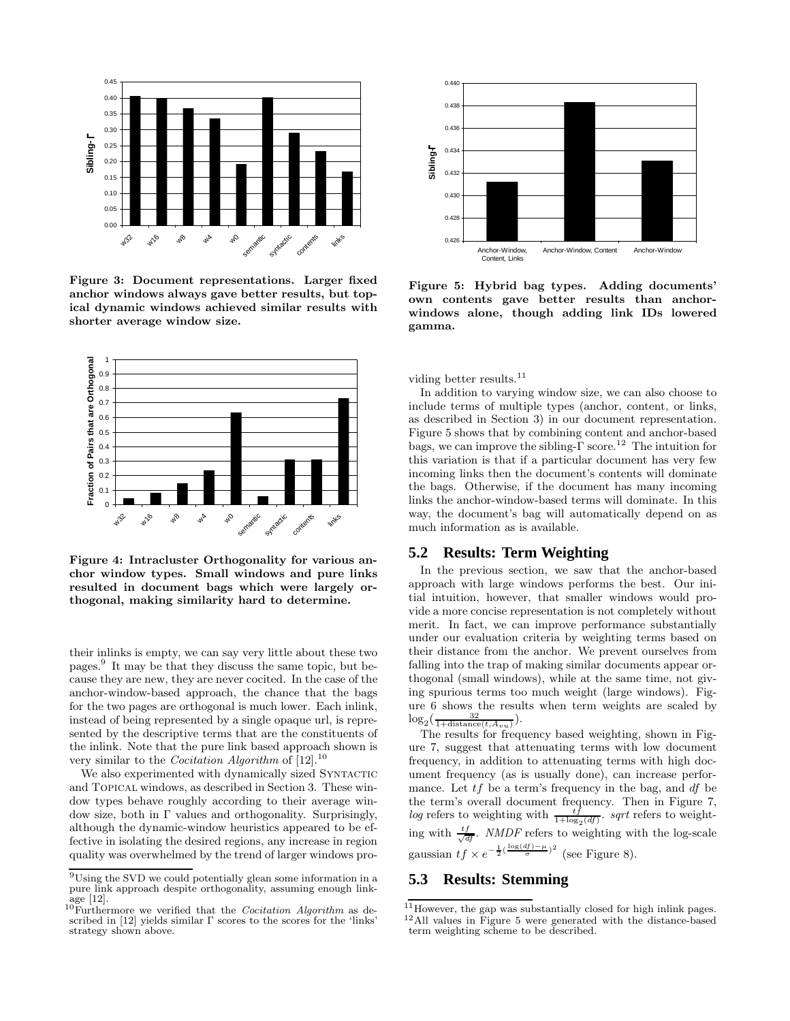

Figure 3: Document representations. Larger fixed anchor windows always gave better results, but topical dynamic windows achieved similar results with shorter average window size.



Figure 4: Intracluster Orthogonality for various anchor window types. Small windows and pure links resulted in document bags which were largely orthogonal, making similarity hard to determine.

their inlinks is empty, we can say very little about these two pages.<sup>9</sup> It may be that they discuss the same topic, but because they are new, they are never cocited. In the case of the anchor-window-based approach, the chance that the bags for the two pages are orthogonal is much lower. Each inlink, instead of being represented by a single opaque url, is represented by the descriptive terms that are the constituents of the inlink. Note that the pure link based approach shown is very similar to the *Cocitation Algorithm* of  $[12]$ .<sup>10</sup>

We also experimented with dynamically sized SYNTACTIC and Topical windows, as described in Section 3. These window types behave roughly according to their average window size, both in Γ values and orthogonality. Surprisingly, although the dynamic-window heuristics appeared to be effective in isolating the desired regions, any increase in region quality was overwhelmed by the trend of larger windows pro-



Figure 5: Hybrid bag types. Adding documents' own contents gave better results than anchorwindows alone, though adding link IDs lowered gamma.

viding better results.<sup>11</sup>

In addition to varying window size, we can also choose to include terms of multiple types (anchor, content, or links, as described in Section 3) in our document representation. Figure 5 shows that by combining content and anchor-based bags, we can improve the sibling- $\Gamma$  score.<sup>12</sup> The intuition for this variation is that if a particular document has very few incoming links then the document's contents will dominate the bags. Otherwise, if the document has many incoming links the anchor-window-based terms will dominate. In this way, the document's bag will automatically depend on as much information as is available.

### **5.2 Results: Term Weighting**

In the previous section, we saw that the anchor-based approach with large windows performs the best. Our initial intuition, however, that smaller windows would provide a more concise representation is not completely without merit. In fact, we can improve performance substantially under our evaluation criteria by weighting terms based on their distance from the anchor. We prevent ourselves from falling into the trap of making similar documents appear orthogonal (small windows), while at the same time, not giving spurious terms too much weight (large windows). Figure 6 shows the results when term weights are scaled by  $\log_2(\frac{32}{1+\text{distance}(t, A_{vu})}).$ 

The results for frequency based weighting, shown in Figure 7, suggest that attenuating terms with low document frequency, in addition to attenuating terms with high document frequency (as is usually done), can increase performance. Let  $tf$  be a term's frequency in the bag, and  $df$  be the term's overall document frequency. Then in Figure 7, log refers to weighting with  $\frac{tf}{1+\log_2(df)}$ . sqrt refers to weighting with  $\frac{tf}{\sqrt{df}}$ . *NMDF* refers to weighting with the log-scale gaussian  $tf \times e^{-\frac{1}{2}(\frac{\log(df) - \mu}{\sigma})^2}$  (see Figure 8).

# **5.3 Results: Stemming**

 $^9\mathrm{Using}$  the SVD we could potentially glean some information in a pure link approach despite orthogonality, assuming enough linkage [12].

 $10$ Furthermore we verified that the *Cocitation Algorithm* as described in [12] yields similar  $\Gamma$  scores to the scores for the 'links' strategy shown above.

 $11$  However, the gap was substantially closed for high inlink pages. <sup>12</sup>All values in Figure 5 were generated with the distance-based term weighting scheme to be described.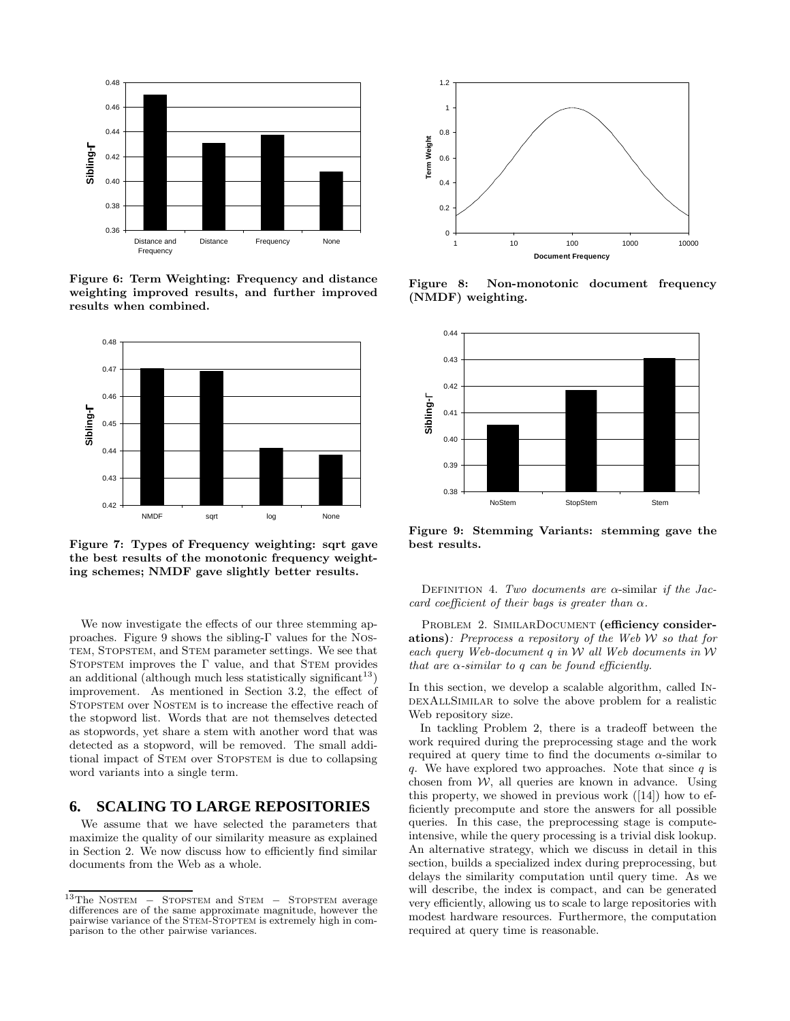

Figure 6: Term Weighting: Frequency and distance weighting improved results, and further improved results when combined.



Figure 7: Types of Frequency weighting: sqrt gave the best results of the monotonic frequency weighting schemes; NMDF gave slightly better results.

We now investigate the effects of our three stemming approaches. Figure 9 shows the sibling-Γ values for the Nos-TEM, STOPSTEM, and STEM parameter settings. We see that STOPSTEM improves the  $\Gamma$  value, and that STEM provides an additional (although much less statistically significant<sup>13</sup>) improvement. As mentioned in Section 3.2, the effect of STOPSTEM over NOSTEM is to increase the effective reach of the stopword list. Words that are not themselves detected as stopwords, yet share a stem with another word that was detected as a stopword, will be removed. The small additional impact of STEM over STOPSTEM is due to collapsing word variants into a single term.

### **6. SCALING TO LARGE REPOSITORIES**

We assume that we have selected the parameters that maximize the quality of our similarity measure as explained in Section 2. We now discuss how to efficiently find similar documents from the Web as a whole.



Figure 8: Non-monotonic document frequency (NMDF) weighting.



Figure 9: Stemming Variants: stemming gave the best results.

DEFINITION 4. Two documents are  $\alpha$ -similar if the Jaccard coefficient of their bags is greater than  $\alpha$ .

PROBLEM 2. SIMILARDOCUMENT (efficiency considerations): Preprocess a repository of the Web  $W$  so that for each query Web-document  $q$  in W all Web documents in W that are  $\alpha$ -similar to q can be found efficiently.

In this section, we develop a scalable algorithm, called In-DEXALLSIMILAR to solve the above problem for a realistic Web repository size.

In tackling Problem 2, there is a tradeoff between the work required during the preprocessing stage and the work required at query time to find the documents  $\alpha$ -similar to q. We have explored two approaches. Note that since q is chosen from  $W$ , all queries are known in advance. Using this property, we showed in previous work ([14]) how to efficiently precompute and store the answers for all possible queries. In this case, the preprocessing stage is computeintensive, while the query processing is a trivial disk lookup. An alternative strategy, which we discuss in detail in this section, builds a specialized index during preprocessing, but delays the similarity computation until query time. As we will describe, the index is compact, and can be generated very efficiently, allowing us to scale to large repositories with modest hardware resources. Furthermore, the computation required at query time is reasonable.

 $13$ The NOSTEM – STOPSTEM and STEM – STOPSTEM average differences are of the same approximate magnitude, however the pairwise variance of the Stem-Stoptem is extremely high in comparison to the other pairwise variances.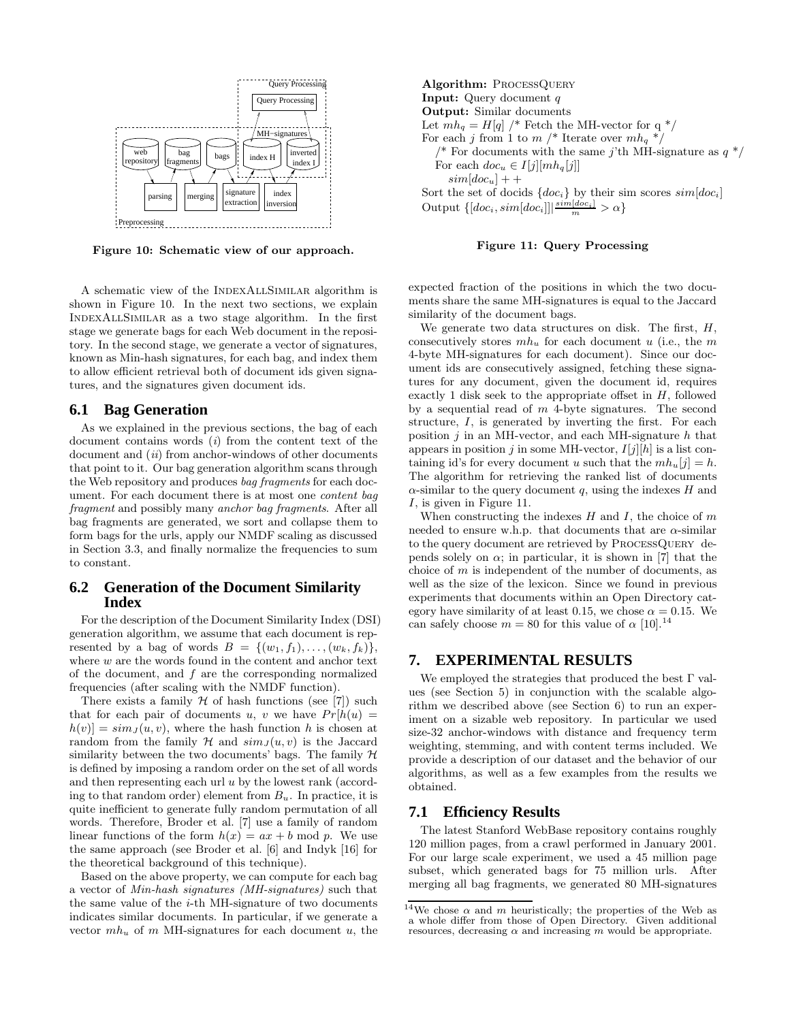

Figure 10: Schematic view of our approach.

A schematic view of the INDEXALLSIMILAR algorithm is shown in Figure 10. In the next two sections, we explain IndexAllSimilar as a two stage algorithm. In the first stage we generate bags for each Web document in the repository. In the second stage, we generate a vector of signatures, known as Min-hash signatures, for each bag, and index them to allow efficient retrieval both of document ids given signatures, and the signatures given document ids.

#### **6.1 Bag Generation**

As we explained in the previous sections, the bag of each document contains words  $(i)$  from the content text of the document and  $(ii)$  from anchor-windows of other documents that point to it. Our bag generation algorithm scans through the Web repository and produces bag fragments for each document. For each document there is at most one content bag fragment and possibly many anchor bag fragments. After all bag fragments are generated, we sort and collapse them to form bags for the urls, apply our NMDF scaling as discussed in Section 3.3, and finally normalize the frequencies to sum to constant.

### **6.2 Generation of the Document Similarity Index**

For the description of the Document Similarity Index (DSI) generation algorithm, we assume that each document is represented by a bag of words  $B = \{(w_1, f_1), \ldots, (w_k, f_k)\},\$ where  $w$  are the words found in the content and anchor text of the document, and f are the corresponding normalized frequencies (after scaling with the NMDF function).

There exists a family  $H$  of hash functions (see [7]) such that for each pair of documents u, v we have  $Pr[h(u)] =$  $h(v) = sim_J(u, v)$ , where the hash function h is chosen at random from the family  $\mathcal H$  and  $\sin J(u, v)$  is the Jaccard similarity between the two documents' bags. The family  $H$ is defined by imposing a random order on the set of all words and then representing each url  $u$  by the lowest rank (according to that random order) element from  $B_u$ . In practice, it is quite inefficient to generate fully random permutation of all words. Therefore, Broder et al. [7] use a family of random linear functions of the form  $h(x) = ax + b \mod p$ . We use the same approach (see Broder et al. [6] and Indyk [16] for the theoretical background of this technique).

Based on the above property, we can compute for each bag a vector of Min-hash signatures (MH-signatures) such that the same value of the i-th MH-signature of two documents indicates similar documents. In particular, if we generate a vector  $mh_u$  of m MH-signatures for each document u, the

Algorithm: PROCESSQUERY Input: Query document q Output: Similar documents Let  $mh_q = H[q]$  /\* Fetch the MH-vector for q  $*/$ For each j from 1 to  $m$  /\* Iterate over  $mh_q$  \*/ <sup>\*</sup> For documents with the same j'th MH-signature as  $q * /$ For each  $doc_u \in I[j][mh_q[j]]$  $sim[doc_u] + +$ Sort the set of docids  $\{doc_i\}$  by their sim scores  $sim[doc_i]$ Output  $\left\{ [doc_i, sim[doc_i]] | \frac{sim[doc_i]}{m} > \alpha \right\}$ 

#### Figure 11: Query Processing

expected fraction of the positions in which the two documents share the same MH-signatures is equal to the Jaccard similarity of the document bags.

We generate two data structures on disk. The first,  $H$ , consecutively stores  $mh_u$  for each document u (i.e., the m 4-byte MH-signatures for each document). Since our document ids are consecutively assigned, fetching these signatures for any document, given the document id, requires exactly 1 disk seek to the appropriate offset in  $H$ , followed by a sequential read of  $m$  4-byte signatures. The second structure, I, is generated by inverting the first. For each position  $j$  in an MH-vector, and each MH-signature h that appears in position j in some MH-vector,  $I[j][h]$  is a list containing id's for every document u such that the  $mh_u[i] = h$ . The algorithm for retrieving the ranked list of documents  $\alpha$ -similar to the query document q, using the indexes H and I, is given in Figure 11.

When constructing the indexes  $H$  and  $I$ , the choice of  $m$ needed to ensure w.h.p. that documents that are  $\alpha$ -similar to the query document are retrieved by ProcessQuery depends solely on  $\alpha$ ; in particular, it is shown in [7] that the choice of m is independent of the number of documents, as well as the size of the lexicon. Since we found in previous experiments that documents within an Open Directory category have similarity of at least 0.15, we chose  $\alpha = 0.15$ . We can safely choose  $m = 80$  for this value of  $\alpha$  [10].<sup>14</sup>

### **7. EXPERIMENTAL RESULTS**

We employed the strategies that produced the best  $\Gamma$  values (see Section 5) in conjunction with the scalable algorithm we described above (see Section 6) to run an experiment on a sizable web repository. In particular we used size-32 anchor-windows with distance and frequency term weighting, stemming, and with content terms included. We provide a description of our dataset and the behavior of our algorithms, as well as a few examples from the results we obtained.

#### **7.1 Efficiency Results**

The latest Stanford WebBase repository contains roughly 120 million pages, from a crawl performed in January 2001. For our large scale experiment, we used a 45 million page subset, which generated bags for 75 million urls. After merging all bag fragments, we generated 80 MH-signatures

<sup>&</sup>lt;sup>14</sup>We chose  $\alpha$  and  $m$  heuristically; the properties of the Web as a whole differ from those of Open Directory. Given additional resources, decreasing  $\alpha$  and increasing m would be appropriate.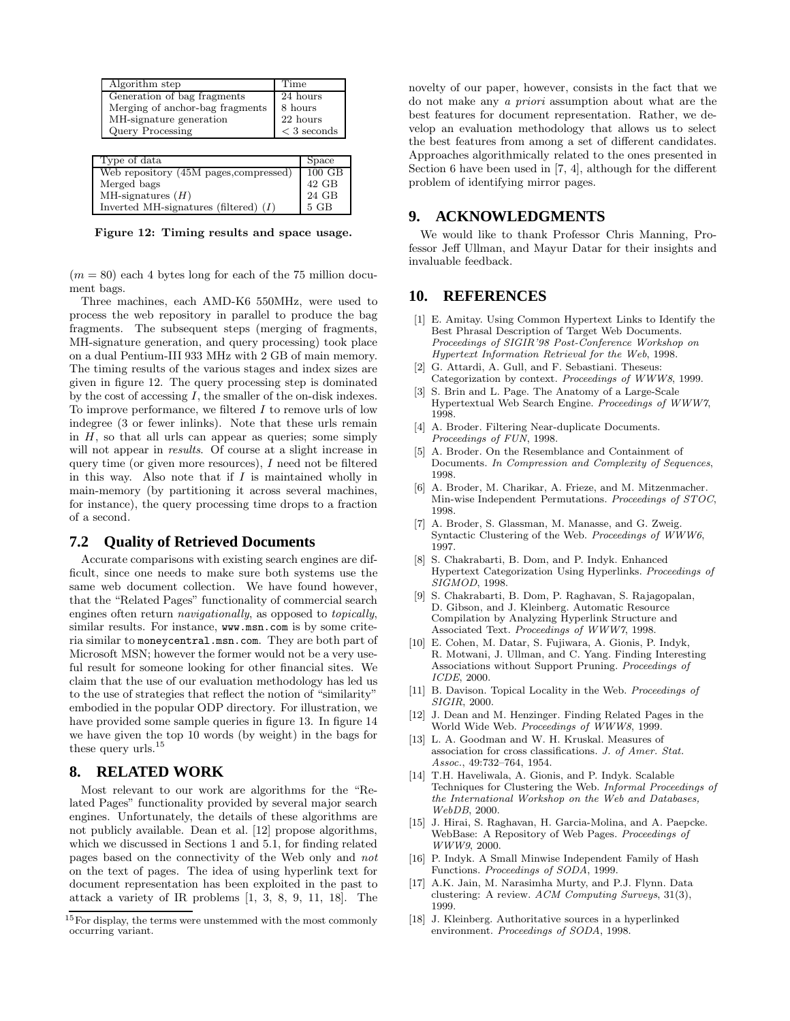| Algorithm step                  | Time          |
|---------------------------------|---------------|
| Generation of bag fragments     | 24 hours      |
| Merging of anchor-bag fragments | 8 hours       |
| MH-signature generation         | 22 hours      |
| Query Processing                | $<$ 3 seconds |
|                                 |               |
| Type of data                    |               |

| Web repository (45M pages, compressed)  | $100$ GB |
|-----------------------------------------|----------|
| Merged bags                             | $42$ GB  |
| MH-signatures $(H)$                     | 24 GB    |
| Inverted MH-signatures (filtered) $(I)$ | 5 GB     |

Figure 12: Timing results and space usage.

 $(m = 80)$  each 4 bytes long for each of the 75 million document bags.

Three machines, each AMD-K6 550MHz, were used to process the web repository in parallel to produce the bag fragments. The subsequent steps (merging of fragments, MH-signature generation, and query processing) took place on a dual Pentium-III 933 MHz with 2 GB of main memory. The timing results of the various stages and index sizes are given in figure 12. The query processing step is dominated by the cost of accessing  $I$ , the smaller of the on-disk indexes. To improve performance, we filtered  $I$  to remove urls of low indegree (3 or fewer inlinks). Note that these urls remain in  $H$ , so that all urls can appear as queries; some simply will not appear in *results*. Of course at a slight increase in query time (or given more resources), I need not be filtered in this way. Also note that if  $I$  is maintained wholly in main-memory (by partitioning it across several machines, for instance), the query processing time drops to a fraction of a second.

### **7.2 Quality of Retrieved Documents**

Accurate comparisons with existing search engines are difficult, since one needs to make sure both systems use the same web document collection. We have found however, that the "Related Pages" functionality of commercial search engines often return navigationally, as opposed to topically, similar results. For instance, www.msn.com is by some criteria similar to moneycentral.msn.com. They are both part of Microsoft MSN; however the former would not be a very useful result for someone looking for other financial sites. We claim that the use of our evaluation methodology has led us to the use of strategies that reflect the notion of "similarity" embodied in the popular ODP directory. For illustration, we have provided some sample queries in figure 13. In figure 14 we have given the top 10 words (by weight) in the bags for these query urls.<sup>15</sup>

### **8. RELATED WORK**

Most relevant to our work are algorithms for the "Related Pages" functionality provided by several major search engines. Unfortunately, the details of these algorithms are not publicly available. Dean et al. [12] propose algorithms, which we discussed in Sections 1 and 5.1, for finding related pages based on the connectivity of the Web only and not on the text of pages. The idea of using hyperlink text for document representation has been exploited in the past to attack a variety of IR problems [1, 3, 8, 9, 11, 18]. The novelty of our paper, however, consists in the fact that we do not make any a priori assumption about what are the best features for document representation. Rather, we develop an evaluation methodology that allows us to select the best features from among a set of different candidates. Approaches algorithmically related to the ones presented in Section 6 have been used in [7, 4], although for the different problem of identifying mirror pages.

### **9. ACKNOWLEDGMENTS**

We would like to thank Professor Chris Manning, Professor Jeff Ullman, and Mayur Datar for their insights and invaluable feedback.

### **10. REFERENCES**

- [1] E. Amitay. Using Common Hypertext Links to Identify the Best Phrasal Description of Target Web Documents. Proceedings of SIGIR'98 Post-Conference Workshop on Hypertext Information Retrieval for the Web, 1998.
- [2] G. Attardi, A. Gull, and F. Sebastiani. Theseus: Categorization by context. Proceedings of WWW8, 1999.
- [3] S. Brin and L. Page. The Anatomy of a Large-Scale Hypertextual Web Search Engine. Proceedings of WWW7, 1998.
- [4] A. Broder. Filtering Near-duplicate Documents. Proceedings of FUN, 1998.
- [5] A. Broder. On the Resemblance and Containment of Documents. In Compression and Complexity of Sequences, 1998.
- [6] A. Broder, M. Charikar, A. Frieze, and M. Mitzenmacher. Min-wise Independent Permutations. Proceedings of STOC, 1998.
- [7] A. Broder, S. Glassman, M. Manasse, and G. Zweig. Syntactic Clustering of the Web. Proceedings of WWW6, 1997.
- [8] S. Chakrabarti, B. Dom, and P. Indyk. Enhanced Hypertext Categorization Using Hyperlinks. Proceedings of SIGMOD, 1998.
- [9] S. Chakrabarti, B. Dom, P. Raghavan, S. Rajagopalan, D. Gibson, and J. Kleinberg. Automatic Resource Compilation by Analyzing Hyperlink Structure and Associated Text. Proceedings of WWW7, 1998.
- [10] E. Cohen, M. Datar, S. Fujiwara, A. Gionis, P. Indyk, R. Motwani, J. Ullman, and C. Yang. Finding Interesting Associations without Support Pruning. Proceedings of ICDE, 2000.
- [11] B. Davison. Topical Locality in the Web. Proceedings of SIGIR, 2000.
- [12] J. Dean and M. Henzinger. Finding Related Pages in the World Wide Web. Proceedings of WWW8, 1999.
- [13] L. A. Goodman and W. H. Kruskal. Measures of association for cross classifications. J. of Amer. Stat. Assoc., 49:732–764, 1954.
- [14] T.H. Haveliwala, A. Gionis, and P. Indyk. Scalable Techniques for Clustering the Web. Informal Proceedings of the International Workshop on the Web and Databases, WebDB, 2000.
- [15] J. Hirai, S. Raghavan, H. Garcia-Molina, and A. Paepcke. WebBase: A Repository of Web Pages. Proceedings of WWW9, 2000.
- [16] P. Indyk. A Small Minwise Independent Family of Hash Functions. Proceedings of SODA, 1999.
- [17] A.K. Jain, M. Narasimha Murty, and P.J. Flynn. Data clustering: A review. ACM Computing Surveys, 31(3), 1999.
- [18] J. Kleinberg. Authoritative sources in a hyperlinked environment. Proceedings of SODA, 1998.

 $^{15}\mathrm{For}$  display, the terms were unstemmed with the most commonly occurring variant.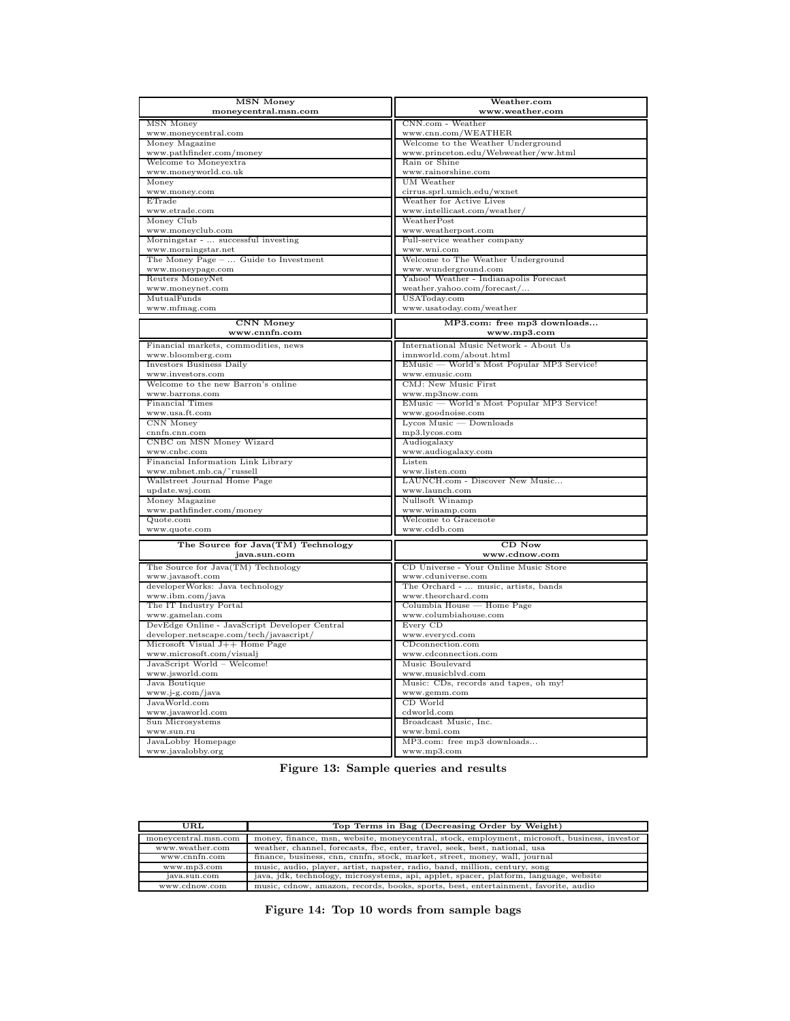| <b>MSN Money</b>                              | Weather.com                                |
|-----------------------------------------------|--------------------------------------------|
| moneycentral.msn.com                          | www.weather.com                            |
|                                               |                                            |
| <b>MSN</b> Money<br>www.moneycentral.com      | CNN.com - Weather<br>www.cnn.com/WEATHER   |
| Money Magazine                                | Welcome to the Weather Underground         |
| www.pathfinder.com/money                      | www.princeton.edu/Webweather/ww.html       |
| Welcome to Moneyextra                         | Rain or Shine                              |
| www.moneyworld.co.uk                          | www.rainorshine.com                        |
| Money                                         | UM Weather                                 |
| www.money.com                                 | cirrus.sprl.umich.edu/wxnet                |
| ETrade                                        | Weather for Active Lives                   |
| www.etrade.com                                | www.intellicast.com/weather/               |
| Money Club                                    | WeatherPost                                |
| www.moneyclub.com                             | www.weatherpost.com                        |
| Morningstar -  successful investing           | Full-service weather company               |
| www.morningstar.net                           | www.wni.com                                |
| The Money Page -  Guide to Investment         | Welcome to The Weather Underground         |
| www.moneypage.com                             | www.wunderground.com                       |
| Reuters MoneyNet                              | Yahoo! Weather - Indianapolis Forecast     |
| www.moneynet.com                              | weather.yahoo.com/forecast/                |
| MutualFunds                                   | USAToday.com                               |
| www.mfmag.com                                 | www.usatoday.com/weather                   |
|                                               |                                            |
| <b>CNN</b> Money                              | MP3.com: free mp3 downloads                |
| www.cnnfn.com                                 | www.mp3.com                                |
| Financial markets, commodities, news          | International Music Network - About Us     |
| www.bloomberg.com                             | imnworld.com/about.html                    |
| Investors Business Daily                      | EMusic — World's Most Popular MP3 Service! |
| www.investors.com                             | www.emusic.com                             |
| Welcome to the new Barron's online            | CMJ: New Music First                       |
| www.barrons.com                               | www.mp3now.com                             |
| <b>Financial Times</b>                        | EMusic — World's Most Popular MP3 Service! |
| www.usa.ft.com                                | www.goodnoise.com                          |
| CNN Money                                     | $Lycos$ Music $-$ Downloads                |
| cnnfn.cnn.com                                 | mp3.lycos.com                              |
| CNBC on MSN Money Wizard                      | Audiogalaxy                                |
| www.cnbc.com                                  | www.audiogalaxy.com                        |
| Financial Information Link Library            | Listen                                     |
| www.mbnet.mb.ca/~russell                      | www.listen.com                             |
| Wallstreet Journal Home Page                  | LAUNCH.com - Discover New Music            |
| update.wsj.com                                | www.launch.com                             |
| Money Magazine                                | Nullsoft Winamp                            |
| www.pathfinder.com/money                      | www.winamp.com                             |
| Quote.com                                     | Welcome to Gracenote                       |
| www.quote.com                                 | www.cddb.com                               |
| The Source for Java(TM) Technology            | $CD$ Now                                   |
| java.sun.com                                  | www.cdnow.com                              |
| The Source for Java(TM) Technology            | CD Universe - Your Online Music Store      |
| www.javasoft.com                              | www.cduniverse.com                         |
| developerWorks: Java technology               | The Orchard -  music, artists, bands       |
| www.ibm.com/java                              | www.theorchard.com                         |
| The IT Industry Portal                        | Columbia House - Home Page                 |
| www.gamelan.com                               | www.columbiahouse.com                      |
| DevEdge Online - JavaScript Developer Central | Every CD                                   |
| developer.netscape.com/tech/javascript/       | www.everycd.com                            |
| Microsoft Visual J++ Home Page                | CDconnection.com                           |
| www.microsoft.com/visualj                     | www.cdconnection.com                       |
| JavaScript World - Welcome!                   | Music Boulevard                            |
| www.jsworld.com                               | www.musicblvd.com                          |
| Java Boutique                                 | Music: CDs, records and tapes, oh my!      |
| www.j-g.com/java                              | www.gemm.com                               |
| JavaWorld.com                                 | CD World                                   |
| www.javaworld.com                             | cdworld.com                                |
|                                               |                                            |
| Sun Microsystems                              | Broadcast Music, Inc.                      |
| www.sun.ru                                    | www.bmi.com                                |
| JavaLobby Homepage                            | MP3.com: free mp3 downloads                |

| Figure 13: Sample queries and results |  |  |  |  |
|---------------------------------------|--|--|--|--|
|---------------------------------------|--|--|--|--|

| URL                  | Top Terms in Bag (Decreasing Order by Weight)                                                |
|----------------------|----------------------------------------------------------------------------------------------|
| moneycentral.msn.com | money, finance, msn, website, moneycentral, stock, employment, microsoft, business, investor |
| www.weather.com      | weather, channel, forecasts, fbc, enter, travel, seek, best, national, usa                   |
| www.cnnfn.com        | finance, business, cnn, cnnfn, stock, market, street, money, wall, journal                   |
| www.mp3.com          | music, audio, player, artist, napster, radio, band, million, century, song                   |
| java.sun.com         | java, jdk, technology, microsystems, api, applet, spacer, platform, language, website        |
| www.cdnow.com        | music, cdnow, amazon, records, books, sports, best, entertainment, favorite, audio           |

Figure 14: Top 10 words from sample bags